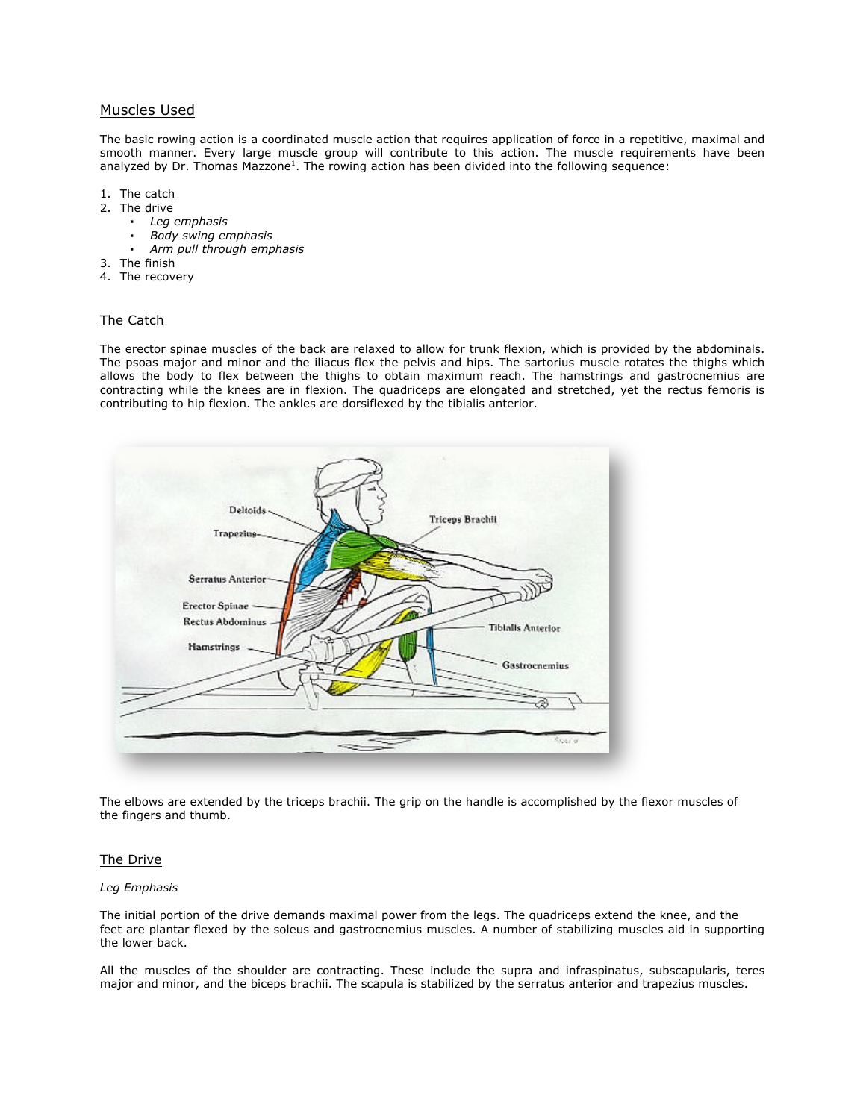# Muscles Used

The basic rowing action is a coordinated muscle action that requires application of force in a repetitive, maximal and smooth manner. Every large muscle group will contribute to this action. The muscle requirements have been analyzed by Dr. Thomas Mazzone<sup>1</sup>. The rowing action has been divided into the following sequence:

- 1. The catch
- 2. The drive
	- *Leg emphasis*
	- *Body swing emphasis*
	- *Arm pull through emphasis*
- 3. The finish
- 4. The recovery

## The Catch

The erector spinae muscles of the back are relaxed to allow for trunk flexion, which is provided by the abdominals. The psoas major and minor and the iliacus flex the pelvis and hips. The sartorius muscle rotates the thighs which allows the body to flex between the thighs to obtain maximum reach. The hamstrings and gastrocnemius are contracting while the knees are in flexion. The quadriceps are elongated and stretched, yet the rectus femoris is contributing to hip flexion. The ankles are dorsiflexed by the tibialis anterior.



The elbows are extended by the triceps brachii. The grip on the handle is accomplished by the flexor muscles of the fingers and thumb.

### The Drive

#### *Leg Emphasis*

The initial portion of the drive demands maximal power from the legs. The quadriceps extend the knee, and the feet are plantar flexed by the soleus and gastrocnemius muscles. A number of stabilizing muscles aid in supporting the lower back.

All the muscles of the shoulder are contracting. These include the supra and infraspinatus, subscapularis, teres major and minor, and the biceps brachii. The scapula is stabilized by the serratus anterior and trapezius muscles.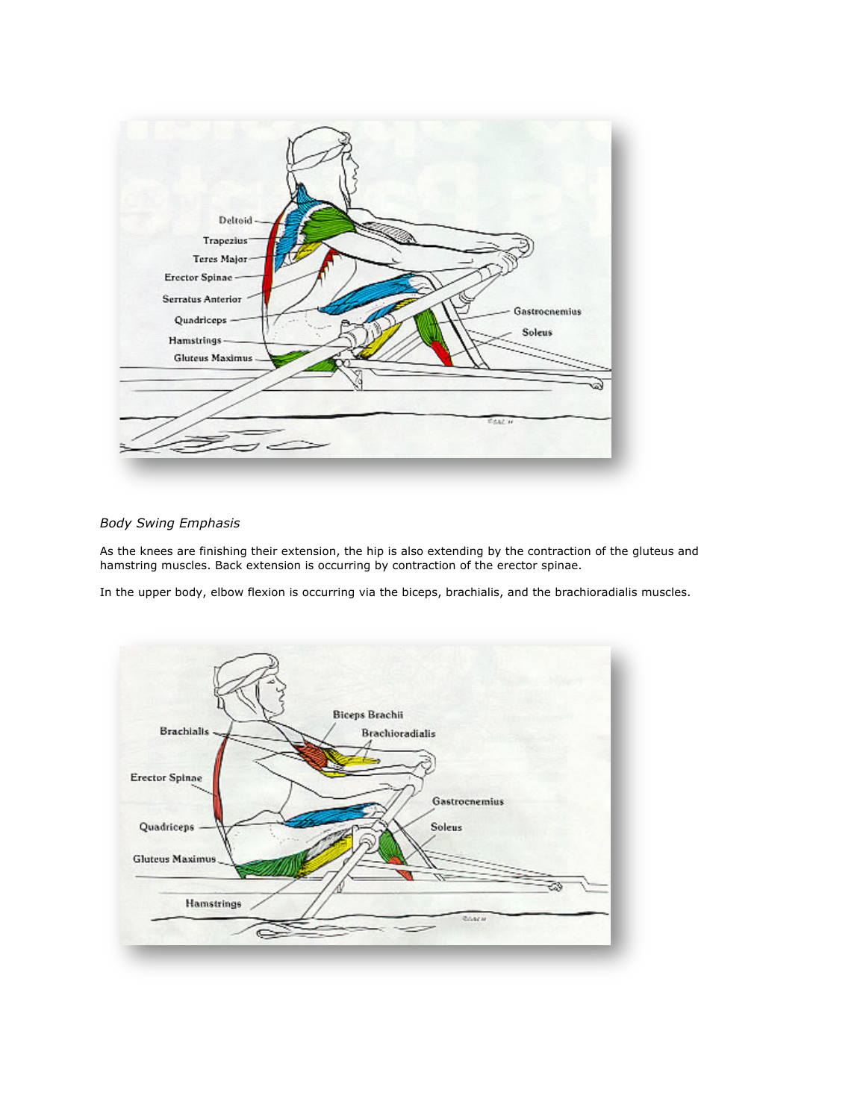

# *Body Swing Emphasis*

As the knees are finishing their extension, the hip is also extending by the contraction of the gluteus and hamstring muscles. Back extension is occurring by contraction of the erector spinae.

In the upper body, elbow flexion is occurring via the biceps, brachialis, and the brachioradialis muscles.

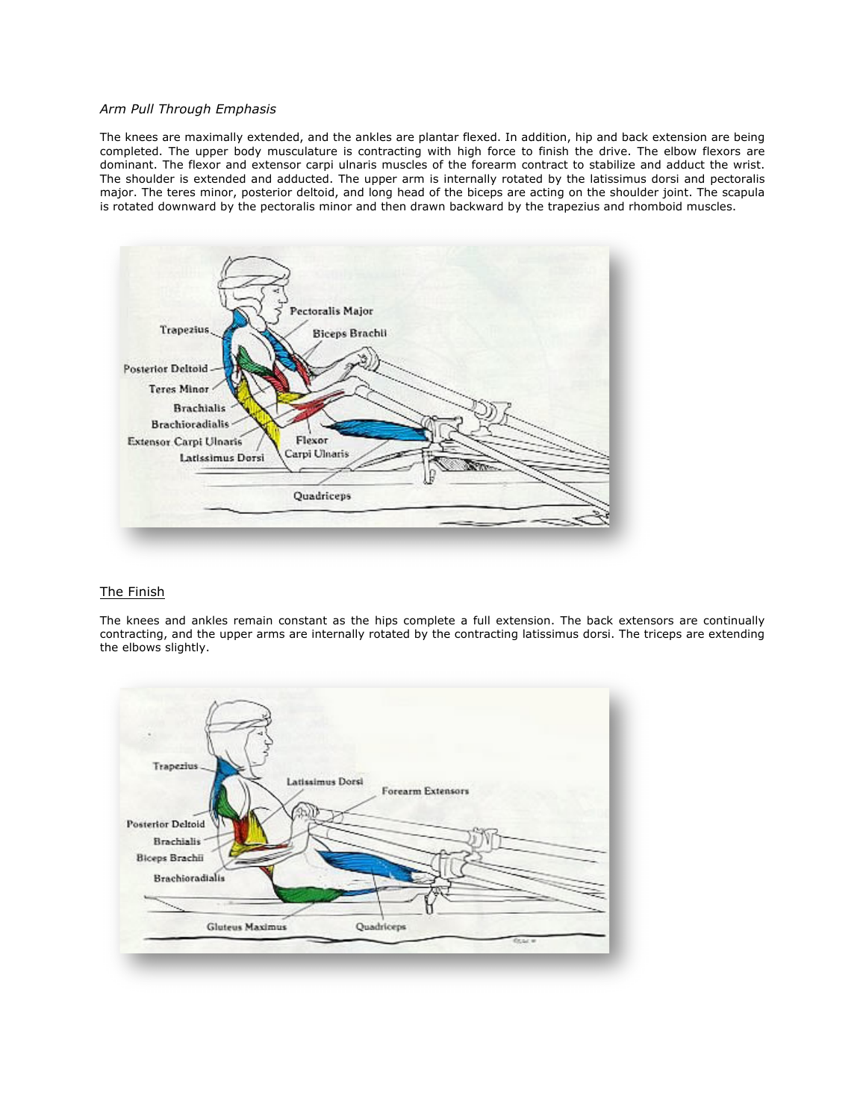## *Arm Pull Through Emphasis*

The knees are maximally extended, and the ankles are plantar flexed. In addition, hip and back extension are being completed. The upper body musculature is contracting with high force to finish the drive. The elbow flexors are dominant. The flexor and extensor carpi ulnaris muscles of the forearm contract to stabilize and adduct the wrist. The shoulder is extended and adducted. The upper arm is internally rotated by the latissimus dorsi and pectoralis major. The teres minor, posterior deltoid, and long head of the biceps are acting on the shoulder joint. The scapula is rotated downward by the pectoralis minor and then drawn backward by the trapezius and rhomboid muscles.



## The Finish

The knees and ankles remain constant as the hips complete a full extension. The back extensors are continually contracting, and the upper arms are internally rotated by the contracting latissimus dorsi. The triceps are extending the elbows slightly.